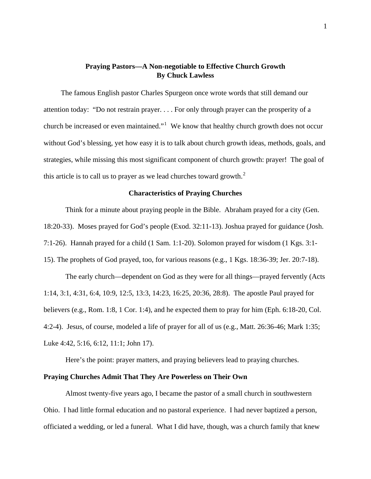# **Praying Pastors—A Non-negotiable to Effective Church Growth By Chuck Lawless**

The famous English pastor Charles Spurgeon once wrote words that still demand our attention today: "Do not restrain prayer. . . . For only through prayer can the prosperity of a church be increased or even maintained." $1$  We know that healthy church growth does not occur without God's blessing, yet how easy it is to talk about church growth ideas, methods, goals, and strategies, while missing this most significant component of church growth: prayer! The goal of this article is to call us to prayer as we lead churches toward growth. $2$ 

## **Characteristics of Praying Churches**

Think for a minute about praying people in the Bible. Abraham prayed for a city (Gen. 18:20-33). Moses prayed for God's people (Exod. 32:11-13). Joshua prayed for guidance (Josh. 7:1-26). Hannah prayed for a child (1 Sam. 1:1-20). Solomon prayed for wisdom (1 Kgs. 3:1-

15). The prophets of God prayed, too, for various reasons (e.g., 1 Kgs. 18:36-39; Jer. 20:7-18).

The early church—dependent on God as they were for all things—prayed fervently (Acts 1:14, 3:1, 4:31, 6:4, 10:9, 12:5, 13:3, 14:23, 16:25, 20:36, 28:8). The apostle Paul prayed for believers (e.g., Rom. 1:8, 1 Cor. 1:4), and he expected them to pray for him (Eph. 6:18-20, Col. 4:2-4). Jesus, of course, modeled a life of prayer for all of us (e.g., Matt. 26:36-46; Mark 1:35; Luke 4:42, 5:16, 6:12, 11:1; John 17).

Here's the point: prayer matters, and praying believers lead to praying churches.

## **Praying Churches Admit That They Are Powerless on Their Own**

 Almost twenty-five years ago, I became the pastor of a small church in southwestern Ohio. I had little formal education and no pastoral experience. I had never baptized a person, officiated a wedding, or led a funeral. What I did have, though, was a church family that knew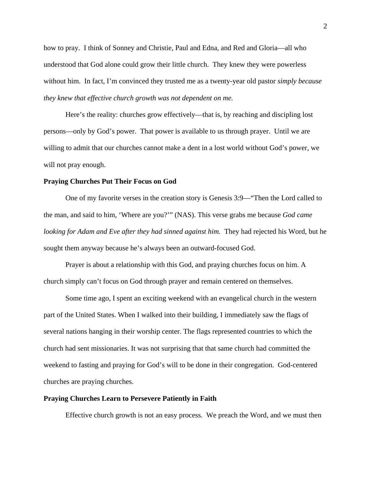how to pray. I think of Sonney and Christie, Paul and Edna, and Red and Gloria—all who understood that God alone could grow their little church. They knew they were powerless without him. In fact, I'm convinced they trusted me as a twenty-year old pastor *simply because they knew that effective church growth was not dependent on me.* 

 Here's the reality: churches grow effectively—that is, by reaching and discipling lost persons—only by God's power. That power is available to us through prayer. Until we are willing to admit that our churches cannot make a dent in a lost world without God's power, we will not pray enough.

#### **Praying Churches Put Their Focus on God**

One of my favorite verses in the creation story is Genesis 3:9—"Then the Lord called to the man, and said to him, 'Where are you?'" (NAS). This verse grabs me because *God came looking for Adam and Eve after they had sinned against him.* They had rejected his Word, but he sought them anyway because he's always been an outward-focused God.

Prayer is about a relationship with this God, and praying churches focus on him. A church simply can't focus on God through prayer and remain centered on themselves.

Some time ago, I spent an exciting weekend with an evangelical church in the western part of the United States. When I walked into their building, I immediately saw the flags of several nations hanging in their worship center. The flags represented countries to which the church had sent missionaries. It was not surprising that that same church had committed the weekend to fasting and praying for God's will to be done in their congregation. God-centered churches are praying churches.

### **Praying Churches Learn to Persevere Patiently in Faith**

Effective church growth is not an easy process. We preach the Word, and we must then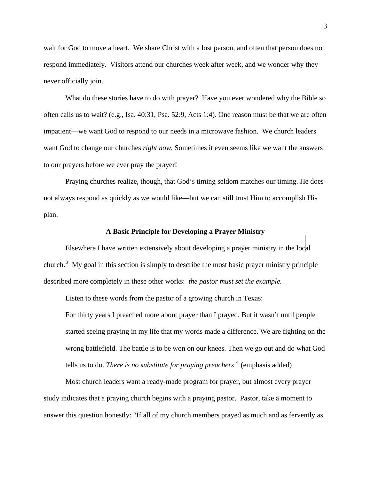wait for God to move a heart. We share Christ with a lost person, and often that person does not respond immediately. Visitors attend our churches week after week, and we wonder why they never officially join.

What do these stories have to do with prayer? Have you ever wondered why the Bible so often calls us to wait? (e.g., Isa. 40:31, Psa. 52:9, Acts 1:4). One reason must be that we are often impatient—we want God to respond to our needs in a microwave fashion. We church leaders want God to change our churches *right now.* Sometimes it even seems like we want the answers to our prayers before we ever pray the prayer!

Praying churches realize, though, that God's timing seldom matches our timing. He does not always respond as quickly as we would like—but we can still trust Him to accomplish His plan.

#### **A Basic Principle for Developing a Prayer Ministry**

 Elsewhere I have written extensively about developing a prayer ministry in the local church.<sup>[3](#page-4-1)</sup> My goal in this section is simply to describe the most basic prayer ministry principle described more completely in these other works: *the pastor must set the example.*

Listen to these words from the pastor of a growing church in Texas:

For thirty years I preached more about prayer than I prayed. But it wasn't until people started seeing praying in my life that my words made a difference. We are fighting on the wrong battlefield. The battle is to be won on our knees. Then we go out and do what God tells us to do. *There is no substitute for praying preachers*. [4](#page-4-1) (emphasis added)

 Most church leaders want a ready-made program for prayer, but almost every prayer study indicates that a praying church begins with a praying pastor. Pastor, take a moment to answer this question honestly: "If all of my church members prayed as much and as fervently as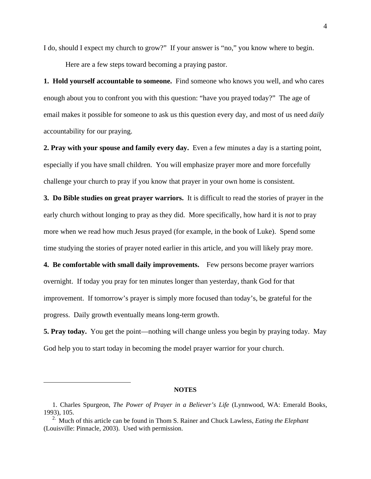I do, should I expect my church to grow?" If your answer is "no," you know where to begin.

Here are a few steps toward becoming a praying pastor.

**1. Hold yourself accountable to someone.** Find someone who knows you well, and who cares enough about you to confront you with this question: "have you prayed today?" The age of email makes it possible for someone to ask us this question every day, and most of us need *daily*  accountability for our praying.

**2. Pray with your spouse and family every day.** Even a few minutes a day is a starting point, especially if you have small children. You will emphasize prayer more and more forcefully challenge your church to pray if you know that prayer in your own home is consistent.

**3. Do Bible studies on great prayer warriors.** It is difficult to read the stories of prayer in the early church without longing to pray as they did. More specifically, how hard it is *not* to pray more when we read how much Jesus prayed (for example, in the book of Luke). Spend some time studying the stories of prayer noted earlier in this article, and you will likely pray more.

**4. Be comfortable with small daily improvements.** Few persons become prayer warriors overnight. If today you pray for ten minutes longer than yesterday, thank God for that improvement. If tomorrow's prayer is simply more focused than today's, be grateful for the progress. Daily growth eventually means long-term growth.

**5. Pray today.** You get the point—nothing will change unless you begin by praying today. May God help you to start today in becoming the model prayer warrior for your church.

#### **NOTES**

 $\overline{a}$ 

<sup>1.</sup> Charles Spurgeon, *The Power of Prayer in a Believer's Life* (Lynnwood, WA: Emerald Books, 1993), 105.

<sup>2.</sup> Much of this article can be found in Thom S. Rainer and Chuck Lawless, *Eating the Elephant* (Louisville: Pinnacle, 2003). Used with permission.